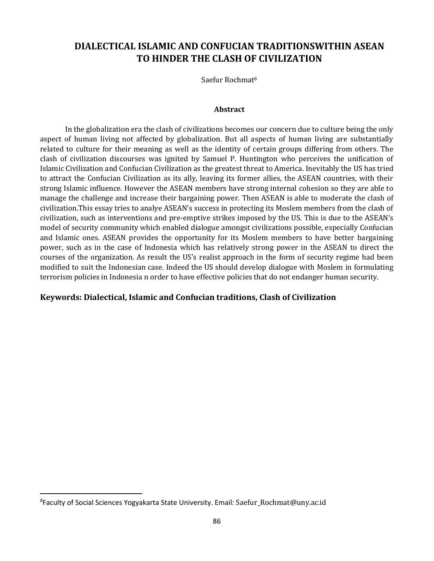# **DIALECTICAL ISLAMIC AND CONFUCIAN TRADITIONSWITHIN ASEAN TO HINDER THE CLASH OF CIVILIZATION**

Saefur Rochmat<sup>8</sup>

#### **Abstract**

In the globalization era the clash of civilizations becomes our concern due to culture being the only aspect of human living not affected by globalization. But all aspects of human living are substantially related to culture for their meaning as well as the identity of certain groups differing from others. The clash of civilization discourses was ignited by Samuel P. Huntington who perceives the unification of Islamic Civilization and Confucian Civilization as the greatest threat to America. Inevitably the US has tried to attract the Confucian Civilization as its ally, leaving its former allies, the ASEAN countries, with their strong Islamic influence. However the ASEAN members have strong internal cohesion so they are able to manage the challenge and increase their bargaining power. Then ASEAN is able to moderate the clash of civilization.This essay tries to analye ASEAN's success in protecting its Moslem members from the clash of civilization, such as interventions and pre-emptive strikes imposed by the US. This is due to the ASEAN's model of security community which enabled dialogue amongst civilizations possible, especially Confucian and Islamic ones. ASEAN provides the opportunity for its Moslem members to have better bargaining power, such as in the case of Indonesia which has relatively strong power in the ASEAN to direct the courses of the organization. As result the US's realist approach in the form of security regime had been modified to suit the Indonesian case. Indeed the US should develop dialogue with Moslem in formulating terrorism policies in Indonesia n order to have effective policies that do not endanger human security.

#### **Keywords: Dialectical, Islamic and Confucian traditions, Clash of Civilization**

 $\overline{\phantom{a}}$ 

<sup>8</sup> Faculty of Social Sciences Yogyakarta State University. Email: Saefur\_Rochmat@uny.ac.id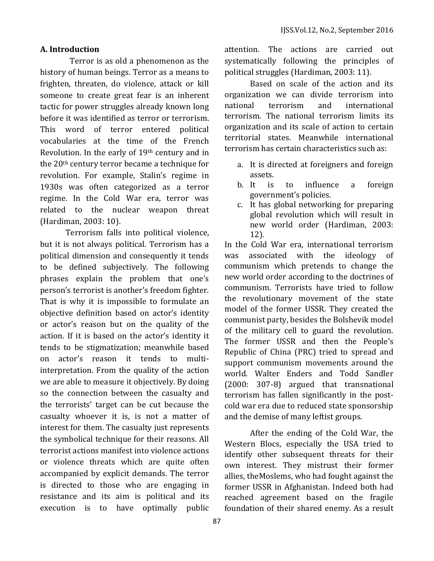#### **A. Introduction**

Terror is as old a phenomenon as the history of human beings. Terror as a means to frighten, threaten, do violence, attack or kill someone to create great fear is an inherent tactic for power struggles already known long before it was identified as terror or terrorism. This word of terror entered political vocabularies at the time of the French Revolution. In the early of 19th century and in the 20th century terror became a technique for revolution. For example, Stalin's regime in 1930s was often categorized as a terror regime. In the Cold War era, terror was related to the nuclear weapon threat (Hardiman, 2003: 10).

Terrorism falls into political violence, but it is not always political. Terrorism has a political dimension and consequently it tends to be defined subjectively. The following phrases explain the problem that one's person's terrorist is another's freedom fighter. That is why it is impossible to formulate an objective definition based on actor's identity or actor's reason but on the quality of the action. If it is based on the actor's identity it tends to be stigmatization; meanwhile based on actor's reason it tends to multiinterpretation. From the quality of the action we are able to measure it objectively. By doing so the connection between the casualty and the terrorists' target can be cut because the casualty whoever it is, is not a matter of interest for them. The casualty just represents the symbolical technique for their reasons. All terrorist actions manifest into violence actions or violence threats which are quite often accompanied by explicit demands. The terror is directed to those who are engaging in resistance and its aim is political and its execution is to have optimally public

attention. The actions are carried out systematically following the principles of political struggles (Hardiman, 2003: 11).

Based on scale of the action and its organization we can divide terrorism into national terrorism and international terrorism. The national terrorism limits its organization and its scale of action to certain territorial states. Meanwhile international terrorism has certain characteristics such as:

- a. It is directed at foreigners and foreign assets.
- b. It is to influence a foreign government's policies.
- c. It has global networking for preparing global revolution which will result in new world order (Hardiman, 2003: 12).

In the Cold War era, international terrorism was associated with the ideology of communism which pretends to change the new world order according to the doctrines of communism. Terrorists have tried to follow the revolutionary movement of the state model of the former USSR. They created the communist party, besides the Bolshevik model of the military cell to guard the revolution. The former USSR and then the People's Republic of China (PRC) tried to spread and support communism movements around the world. Walter Enders and Todd Sandler (2000: 307-8) argued that transnational terrorism has fallen significantly in the postcold war era due to reduced state sponsorship and the demise of many leftist groups.

After the ending of the Cold War, the Western Blocs, especially the USA tried to identify other subsequent threats for their own interest. They mistrust their former allies, theMoslems, who had fought against the former USSR in Afghanistan. Indeed both had reached agreement based on the fragile foundation of their shared enemy. As a result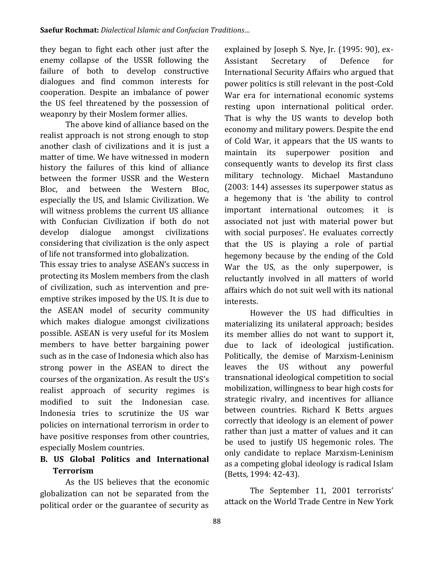they began to fight each other just after the enemy collapse of the USSR following the failure of both to develop constructive dialogues and find common interests for cooperation. Despite an imbalance of power the US feel threatened by the possession of weaponry by their Moslem former allies.

The above kind of alliance based on the realist approach is not strong enough to stop another clash of civilizations and it is just a matter of time. We have witnessed in modern history the failures of this kind of alliance between the former USSR and the Western Bloc, and between the Western Bloc, especially the US, and Islamic Civilization. We will witness problems the current US alliance with Confucian Civilization if both do not develop dialogue amongst civilizations considering that civilization is the only aspect of life not transformed into globalization.

This essay tries to analyse ASEAN's success in protecting its Moslem members from the clash of civilization, such as intervention and preemptive strikes imposed by the US. It is due to the ASEAN model of security community which makes dialogue amongst civilizations possible. ASEAN is very useful for its Moslem members to have better bargaining power such as in the case of Indonesia which also has strong power in the ASEAN to direct the courses of the organization. As result the US's realist approach of security regimes is modified to suit the Indonesian case. Indonesia tries to scrutinize the US war policies on international terrorism in order to have positive responses from other countries, especially Moslem countries.

## **B. US Global Politics and International Terrorism**

As the US believes that the economic globalization can not be separated from the political order or the guarantee of security as explained by Joseph S. Nye, Jr. (1995: 90), ex-Assistant Secretary of Defence for International Security Affairs who argued that power politics is still relevant in the post-Cold War era for international economic systems resting upon international political order. That is why the US wants to develop both economy and military powers. Despite the end of Cold War, it appears that the US wants to maintain its superpower position and consequently wants to develop its first class military technology. Michael Mastanduno (2003: 144) assesses its superpower status as a hegemony that is 'the ability to control important international outcomes; it is associated not just with material power but with social purposes'. He evaluates correctly that the US is playing a role of partial hegemony because by the ending of the Cold War the US, as the only superpower, is reluctantly involved in all matters of world affairs which do not suit well with its national interests.

However the US had difficulties in materializing its unilateral approach; besides its member allies do not want to support it, due to lack of ideological justification. Politically, the demise of Marxism-Leninism leaves the US without any powerful transnational ideological competition to social mobilization, willingness to bear high costs for strategic rivalry, and incentives for alliance between countries. Richard K Betts argues correctly that ideology is an element of power rather than just a matter of values and it can be used to justify US hegemonic roles. The only candidate to replace Marxism-Leninism as a competing global ideology is radical Islam (Betts, 1994: 42-43).

The September 11, 2001 terrorists' attack on the World Trade Centre in New York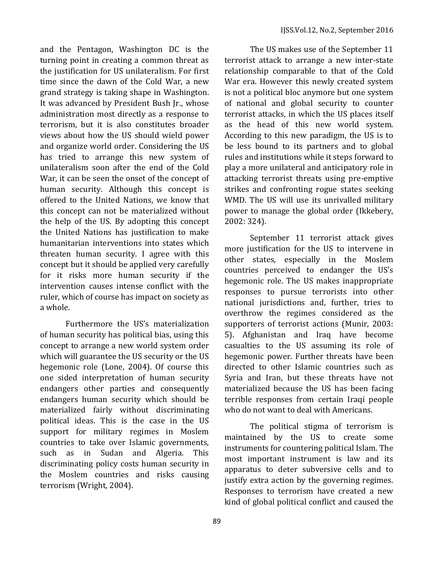and the Pentagon, Washington DC is the turning point in creating a common threat as the justification for US unilateralism. For first time since the dawn of the Cold War, a new grand strategy is taking shape in Washington. It was advanced by President Bush Jr., whose administration most directly as a response to terrorism, but it is also constitutes broader views about how the US should wield power and organize world order. Considering the US has tried to arrange this new system of unilateralism soon after the end of the Cold War, it can be seen the onset of the concept of human security. Although this concept is offered to the United Nations, we know that this concept can not be materialized without the help of the US. By adopting this concept the United Nations has justification to make humanitarian interventions into states which threaten human security. I agree with this concept but it should be applied very carefully for it risks more human security if the intervention causes intense conflict with the ruler, which of course has impact on society as a whole.

Furthermore the US's materialization of human security has political bias, using this concept to arrange a new world system order which will guarantee the US security or the US hegemonic role (Lone, 2004). Of course this one sided interpretation of human security endangers other parties and consequently endangers human security which should be materialized fairly without discriminating political ideas. This is the case in the US support for military regimes in Moslem countries to take over Islamic governments, such as in Sudan and Algeria. This discriminating policy costs human security in the Moslem countries and risks causing terrorism (Wright, 2004).

The US makes use of the September 11 terrorist attack to arrange a new inter-state relationship comparable to that of the Cold War era. However this newly created system is not a political bloc anymore but one system of national and global security to counter terrorist attacks, in which the US places itself as the head of this new world system. According to this new paradigm, the US is to be less bound to its partners and to global rules and institutions while it steps forward to play a more unilateral and anticipatory role in attacking terrorist threats using pre-emptive strikes and confronting rogue states seeking WMD. The US will use its unrivalled military power to manage the global order (Ikkebery, 2002: 324).

September 11 terrorist attack gives more justification for the US to intervene in other states, especially in the Moslem countries perceived to endanger the US's hegemonic role. The US makes inappropriate responses to pursue terrorists into other national jurisdictions and, further, tries to overthrow the regimes considered as the supporters of terrorist actions (Munir, 2003: 5). Afghanistan and Iraq have become casualties to the US assuming its role of hegemonic power. Further threats have been directed to other Islamic countries such as Syria and Iran, but these threats have not materialized because the US has been facing terrible responses from certain Iraqi people who do not want to deal with Americans.

The political stigma of terrorism is maintained by the US to create some instruments for countering political Islam. The most important instrument is law and its apparatus to deter subversive cells and to justify extra action by the governing regimes. Responses to terrorism have created a new kind of global political conflict and caused the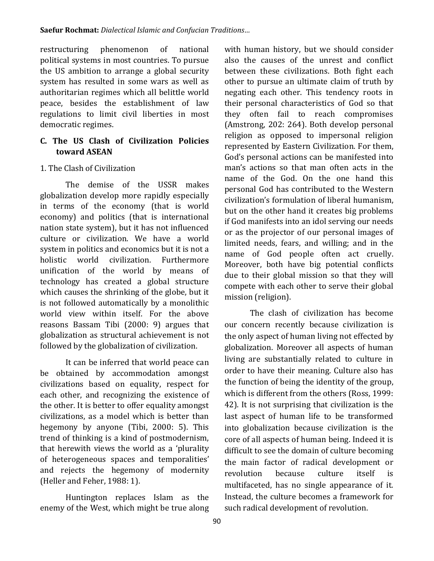restructuring phenomenon of national political systems in most countries. To pursue the US ambition to arrange a global security system has resulted in some wars as well as authoritarian regimes which all belittle world peace, besides the establishment of law regulations to limit civil liberties in most democratic regimes.

### **C. The US Clash of Civilization Policies toward ASEAN**

### 1. The Clash of Civilization

The demise of the USSR makes globalization develop more rapidly especially in terms of the economy (that is world economy) and politics (that is international nation state system), but it has not influenced culture or civilization. We have a world system in politics and economics but it is not a holistic world civilization. Furthermore unification of the world by means of technology has created a global structure which causes the shrinking of the globe, but it is not followed automatically by a monolithic world view within itself. For the above reasons Bassam Tibi (2000: 9) argues that globalization as structural achievement is not followed by the globalization of civilization.

It can be inferred that world peace can be obtained by accommodation amongst civilizations based on equality, respect for each other, and recognizing the existence of the other. It is better to offer equality amongst civilizations, as a model which is better than hegemony by anyone (Tibi, 2000: 5). This trend of thinking is a kind of postmodernism, that herewith views the world as a 'plurality of heterogeneous spaces and temporalities' and rejects the hegemony of modernity (Heller and Feher, 1988: 1).

Huntington replaces Islam as the enemy of the West, which might be true along with human history, but we should consider also the causes of the unrest and conflict between these civilizations. Both fight each other to pursue an ultimate claim of truth by negating each other. This tendency roots in their personal characteristics of God so that they often fail to reach compromises (Amstrong, 202: 264). Both develop personal religion as opposed to impersonal religion represented by Eastern Civilization. For them, God's personal actions can be manifested into man's actions so that man often acts in the name of the God. On the one hand this personal God has contributed to the Western civilization's formulation of liberal humanism, but on the other hand it creates big problems if God manifests into an idol serving our needs or as the projector of our personal images of limited needs, fears, and willing; and in the name of God people often act cruelly. Moreover, both have big potential conflicts due to their global mission so that they will compete with each other to serve their global mission (religion).

The clash of civilization has become our concern recently because civilization is the only aspect of human living not effected by globalization. Moreover all aspects of human living are substantially related to culture in order to have their meaning. Culture also has the function of being the identity of the group, which is different from the others (Ross, 1999: 42). It is not surprising that civilization is the last aspect of human life to be transformed into globalization because civilization is the core of all aspects of human being. Indeed it is difficult to see the domain of culture becoming the main factor of radical development or revolution because culture itself is multifaceted, has no single appearance of it. Instead, the culture becomes a framework for such radical development of revolution.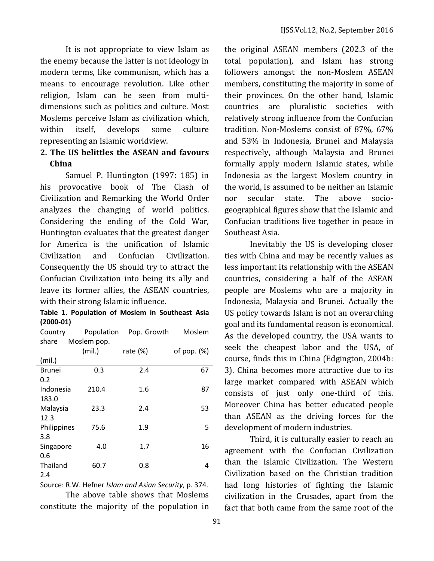It is not appropriate to view Islam as the enemy because the latter is not ideology in modern terms, like communism, which has a means to encourage revolution. Like other religion, Islam can be seen from multidimensions such as politics and culture. Most Moslems perceive Islam as civilization which, within itself, develops some culture representing an Islamic worldview.

## **2. The US belittles the ASEAN and favours China**

Samuel P. Huntington (1997: 185) in his provocative book of The Clash of Civilization and Remarking the World Order analyzes the changing of world politics. Considering the ending of the Cold War, Huntington evaluates that the greatest danger for America is the unification of Islamic Civilization and Confucian Civilization. Consequently the US should try to attract the Confucian Civilization into being its ally and leave its former allies, the ASEAN countries, with their strong Islamic influence.

**Table 1. Population of Moslem in Southeast Asia (2000-01)**

| ν.                   |            |             |                |
|----------------------|------------|-------------|----------------|
| Country              | Population | Pop. Growth | Moslem         |
| Moslem pop.<br>share |            |             |                |
|                      | (mil.)     | rate $(\%)$ | of pop. $(\%)$ |
| (mil.)               |            |             |                |
| <b>Brunei</b>        | 0.3        | 2.4         | 67             |
| 0.2                  |            |             |                |
| Indonesia            | 210.4      | 1.6         | 87             |
| 183.0                |            |             |                |
| Malaysia             | 23.3       | 2.4         | 53             |
| 12.3                 |            |             |                |
| Philippines          | 75.6       | 1.9         | 5              |
| 3.8                  |            |             |                |
| Singapore            | 4.0        | 1.7         | 16             |
| 0.6                  |            |             |                |
| Thailand             | 60.7       | 0.8         | 4              |
| 2.4                  |            |             |                |

Source: R.W. Hefner *Islam and Asian Security*, p. 374. The above table shows that Moslems constitute the majority of the population in

the original ASEAN members (202.3 of the total population), and Islam has strong followers amongst the non-Moslem ASEAN members, constituting the majority in some of their provinces. On the other hand, Islamic countries are pluralistic societies with relatively strong influence from the Confucian tradition. Non-Moslems consist of 87%, 67% and 53% in Indonesia, Brunei and Malaysia respectively, although Malaysia and Brunei formally apply modern Islamic states, while Indonesia as the largest Moslem country in the world, is assumed to be neither an Islamic nor secular state. The above sociogeographical figures show that the Islamic and Confucian traditions live together in peace in Southeast Asia.

Inevitably the US is developing closer ties with China and may be recently values as less important its relationship with the ASEAN countries, considering a half of the ASEAN people are Moslems who are a majority in Indonesia, Malaysia and Brunei. Actually the US policy towards Islam is not an overarching goal and its fundamental reason is economical. As the developed country, the USA wants to seek the cheapest labor and the USA, of course, finds this in China (Edgington, 2004b: 3). China becomes more attractive due to its large market compared with ASEAN which consists of just only one-third of this. Moreover China has better educated people than ASEAN as the driving forces for the development of modern industries.

Third, it is culturally easier to reach an agreement with the Confucian Civilization than the Islamic Civilization. The Western Civilization based on the Christian tradition had long histories of fighting the Islamic civilization in the Crusades, apart from the fact that both came from the same root of the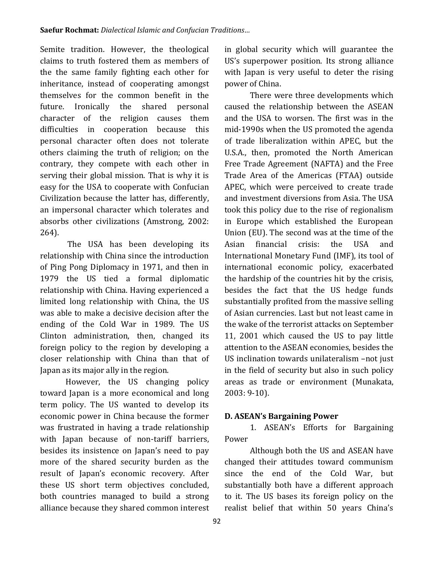Semite tradition. However, the theological claims to truth fostered them as members of the the same family fighting each other for inheritance, instead of cooperating amongst themselves for the common benefit in the future. Ironically the shared personal character of the religion causes them difficulties in cooperation because this personal character often does not tolerate others claiming the truth of religion; on the contrary, they compete with each other in serving their global mission. That is why it is easy for the USA to cooperate with Confucian Civilization because the latter has, differently, an impersonal character which tolerates and absorbs other civilizations (Amstrong, 2002: 264).

The USA has been developing its relationship with China since the introduction of Ping Pong Diplomacy in 1971, and then in 1979 the US tied a formal diplomatic relationship with China. Having experienced a limited long relationship with China, the US was able to make a decisive decision after the ending of the Cold War in 1989. The US Clinton administration, then, changed its foreign policy to the region by developing a closer relationship with China than that of Japan as its major ally in the region.

However, the US changing policy toward Japan is a more economical and long term policy. The US wanted to develop its economic power in China because the former was frustrated in having a trade relationship with Japan because of non-tariff barriers, besides its insistence on Japan's need to pay more of the shared security burden as the result of Japan's economic recovery. After these US short term objectives concluded, both countries managed to build a strong alliance because they shared common interest in global security which will guarantee the US's superpower position. Its strong alliance with Japan is very useful to deter the rising power of China.

There were three developments which caused the relationship between the ASEAN and the USA to worsen. The first was in the mid-1990s when the US promoted the agenda of trade liberalization within APEC, but the U.S.A., then, promoted the North American Free Trade Agreement (NAFTA) and the Free Trade Area of the Americas (FTAA) outside APEC, which were perceived to create trade and investment diversions from Asia. The USA took this policy due to the rise of regionalism in Europe which established the European Union (EU). The second was at the time of the Asian financial crisis: the USA and International Monetary Fund (IMF), its tool of international economic policy, exacerbated the hardship of the countries hit by the crisis, besides the fact that the US hedge funds substantially profited from the massive selling of Asian currencies. Last but not least came in the wake of the terrorist attacks on September 11, 2001 which caused the US to pay little attention to the ASEAN economies, besides the US inclination towards unilateralism –not just in the field of security but also in such policy areas as trade or environment (Munakata, 2003: 9-10).

### **D. ASEAN's Bargaining Power**

1. ASEAN's Efforts for Bargaining Power

Although both the US and ASEAN have changed their attitudes toward communism since the end of the Cold War, but substantially both have a different approach to it. The US bases its foreign policy on the realist belief that within 50 years China's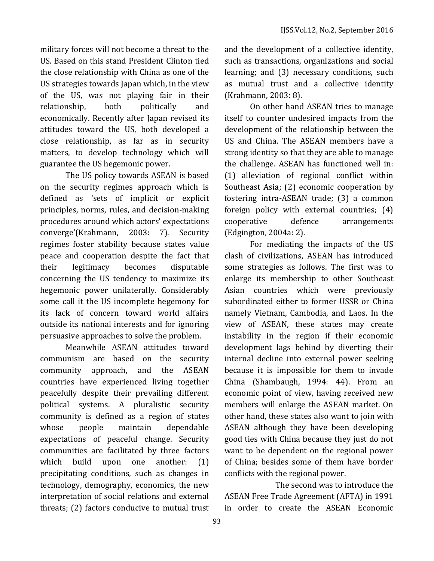military forces will not become a threat to the US. Based on this stand President Clinton tied the close relationship with China as one of the US strategies towards Japan which, in the view of the US, was not playing fair in their relationship, both politically and economically. Recently after Japan revised its attitudes toward the US, both developed a close relationship, as far as in security matters, to develop technology which will guarantee the US hegemonic power.

The US policy towards ASEAN is based on the security regimes approach which is defined as 'sets of implicit or explicit principles, norms, rules, and decision-making procedures around which actors' expectations converge'(Krahmann, 2003: 7). Security regimes foster stability because states value peace and cooperation despite the fact that their legitimacy becomes disputable concerning the US tendency to maximize its hegemonic power unilaterally. Considerably some call it the US incomplete hegemony for its lack of concern toward world affairs outside its national interests and for ignoring persuasive approaches to solve the problem.

Meanwhile ASEAN attitudes toward communism are based on the security community approach, and the ASEAN countries have experienced living together peacefully despite their prevailing different political systems. A pluralistic security community is defined as a region of states whose people maintain dependable expectations of peaceful change. Security communities are facilitated by three factors which build upon one another: (1) precipitating conditions, such as changes in technology, demography, economics, the new interpretation of social relations and external threats; (2) factors conducive to mutual trust

93

and the development of a collective identity, such as transactions, organizations and social learning; and (3) necessary conditions, such as mutual trust and a collective identity (Krahmann, 2003: 8).

On other hand ASEAN tries to manage itself to counter undesired impacts from the development of the relationship between the US and China. The ASEAN members have a strong identity so that they are able to manage the challenge. ASEAN has functioned well in: (1) alleviation of regional conflict within Southeast Asia; (2) economic cooperation by fostering intra-ASEAN trade; (3) a common foreign policy with external countries; (4) cooperative defence arrangements (Edgington, 2004a: 2).

For mediating the impacts of the US clash of civilizations, ASEAN has introduced some strategies as follows. The first was to enlarge its membership to other Southeast Asian countries which were previously subordinated either to former USSR or China namely Vietnam, Cambodia, and Laos. In the view of ASEAN, these states may create instability in the region if their economic development lags behind by diverting their internal decline into external power seeking because it is impossible for them to invade China (Shambaugh, 1994: 44). From an economic point of view, having received new members will enlarge the ASEAN market. On other hand, these states also want to join with ASEAN although they have been developing good ties with China because they just do not want to be dependent on the regional power of China; besides some of them have border conflicts with the regional power.

The second was to introduce the ASEAN Free Trade Agreement (AFTA) in 1991 in order to create the ASEAN Economic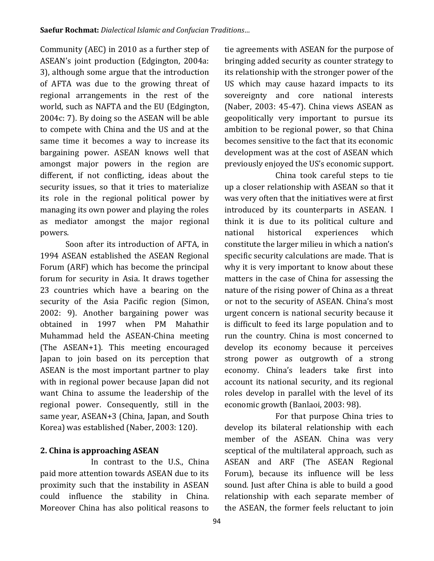Community (AEC) in 2010 as a further step of ASEAN's joint production (Edgington, 2004a: 3), although some argue that the introduction of AFTA was due to the growing threat of regional arrangements in the rest of the world, such as NAFTA and the EU (Edgington, 2004c: 7). By doing so the ASEAN will be able to compete with China and the US and at the same time it becomes a way to increase its bargaining power. ASEAN knows well that amongst major powers in the region are different, if not conflicting, ideas about the security issues, so that it tries to materialize its role in the regional political power by managing its own power and playing the roles as mediator amongst the major regional powers.

Soon after its introduction of AFTA, in 1994 ASEAN established the ASEAN Regional Forum (ARF) which has become the principal forum for security in Asia. It draws together 23 countries which have a bearing on the security of the Asia Pacific region (Simon, 2002: 9). Another bargaining power was obtained in 1997 when PM Mahathir Muhammad held the ASEAN-China meeting (The ASEAN+1). This meeting encouraged Japan to join based on its perception that ASEAN is the most important partner to play with in regional power because Japan did not want China to assume the leadership of the regional power. Consequently, still in the same year, ASEAN+3 (China, Japan, and South Korea) was established (Naber, 2003: 120).

### **2. China is approaching ASEAN**

In contrast to the U.S., China paid more attention towards ASEAN due to its proximity such that the instability in ASEAN could influence the stability in China. Moreover China has also political reasons to tie agreements with ASEAN for the purpose of bringing added security as counter strategy to its relationship with the stronger power of the US which may cause hazard impacts to its sovereignty and core national interests (Naber, 2003: 45-47). China views ASEAN as geopolitically very important to pursue its ambition to be regional power, so that China becomes sensitive to the fact that its economic development was at the cost of ASEAN which previously enjoyed the US's economic support.

China took careful steps to tie up a closer relationship with ASEAN so that it was very often that the initiatives were at first introduced by its counterparts in ASEAN. I think it is due to its political culture and national historical experiences which constitute the larger milieu in which a nation's specific security calculations are made. That is why it is very important to know about these matters in the case of China for assessing the nature of the rising power of China as a threat or not to the security of ASEAN. China's most urgent concern is national security because it is difficult to feed its large population and to run the country. China is most concerned to develop its economy because it perceives strong power as outgrowth of a strong economy. China's leaders take first into account its national security, and its regional roles develop in parallel with the level of its economic growth (Banlaoi, 2003: 98).

For that purpose China tries to develop its bilateral relationship with each member of the ASEAN. China was very sceptical of the multilateral approach, such as ASEAN and ARF (The ASEAN Regional Forum), because its influence will be less sound. Just after China is able to build a good relationship with each separate member of the ASEAN, the former feels reluctant to join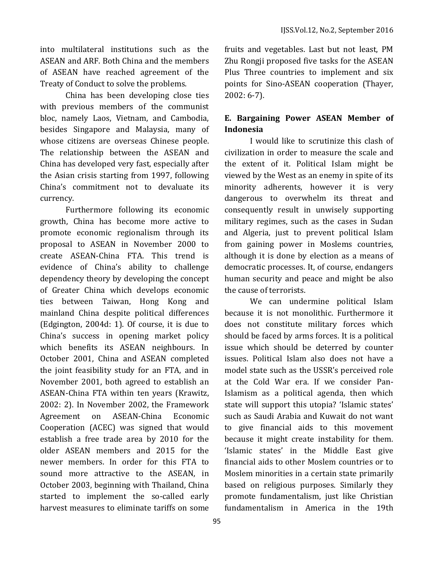into multilateral institutions such as the ASEAN and ARF. Both China and the members of ASEAN have reached agreement of the Treaty of Conduct to solve the problems.

China has been developing close ties with previous members of the communist bloc, namely Laos, Vietnam, and Cambodia, besides Singapore and Malaysia, many of whose citizens are overseas Chinese people. The relationship between the ASEAN and China has developed very fast, especially after the Asian crisis starting from 1997, following China's commitment not to devaluate its currency.

Furthermore following its economic growth, China has become more active to promote economic regionalism through its proposal to ASEAN in November 2000 to create ASEAN-China FTA. This trend is evidence of China's ability to challenge dependency theory by developing the concept of Greater China which develops economic ties between Taiwan, Hong Kong and mainland China despite political differences (Edgington, 2004d: 1). Of course, it is due to China's success in opening market policy which benefits its ASEAN neighbours. In October 2001, China and ASEAN completed the joint feasibility study for an FTA, and in November 2001, both agreed to establish an ASEAN-China FTA within ten years (Krawitz, 2002: 2). In November 2002, the Framework Agreement on ASEAN-China Economic Cooperation (ACEC) was signed that would establish a free trade area by 2010 for the older ASEAN members and 2015 for the newer members. In order for this FTA to sound more attractive to the ASEAN, in October 2003, beginning with Thailand, China started to implement the so-called early harvest measures to eliminate tariffs on some fruits and vegetables. Last but not least, PM Zhu Rongji proposed five tasks for the ASEAN Plus Three countries to implement and six points for Sino-ASEAN cooperation (Thayer, 2002: 6-7).

## **E. Bargaining Power ASEAN Member of Indonesia**

I would like to scrutinize this clash of civilization in order to measure the scale and the extent of it. Political Islam might be viewed by the West as an enemy in spite of its minority adherents, however it is very dangerous to overwhelm its threat and consequently result in unwisely supporting military regimes, such as the cases in Sudan and Algeria, just to prevent political Islam from gaining power in Moslems countries, although it is done by election as a means of democratic processes. It, of course, endangers human security and peace and might be also the cause of terrorists.

We can undermine political Islam because it is not monolithic. Furthermore it does not constitute military forces which should be faced by arms forces. It is a political issue which should be deterred by counter issues. Political Islam also does not have a model state such as the USSR's perceived role at the Cold War era. If we consider Pan-Islamism as a political agenda, then which state will support this utopia? 'Islamic states' such as Saudi Arabia and Kuwait do not want to give financial aids to this movement because it might create instability for them. 'Islamic states' in the Middle East give financial aids to other Moslem countries or to Moslem minorities in a certain state primarily based on religious purposes. Similarly they promote fundamentalism, just like Christian fundamentalism in America in the 19th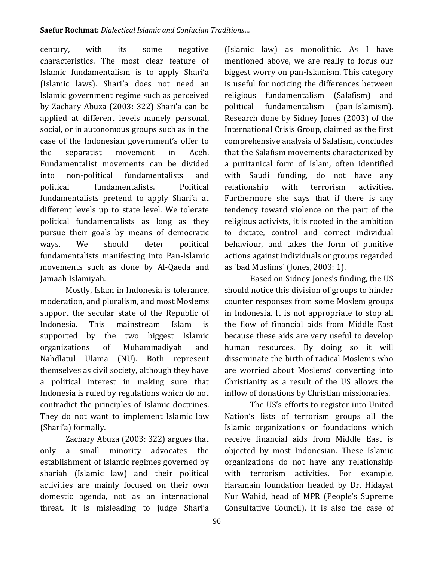century, with its some negative characteristics. The most clear feature of Islamic fundamentalism is to apply Shari'a (Islamic laws). Shari'a does not need an Islamic government regime such as perceived by Zachary Abuza (2003: 322) Shari'a can be applied at different levels namely personal, social, or in autonomous groups such as in the case of the Indonesian government's offer to the separatist movement in Aceh. Fundamentalist movements can be divided into non-political fundamentalists and political fundamentalists. Political fundamentalists pretend to apply Shari'a at different levels up to state level. We tolerate political fundamentalists as long as they pursue their goals by means of democratic ways. We should deter political fundamentalists manifesting into Pan-Islamic movements such as done by Al-Qaeda and Jamaah Islamiyah.

Mostly, Islam in Indonesia is tolerance, moderation, and pluralism, and most Moslems support the secular state of the Republic of Indonesia. This mainstream Islam is supported by the two biggest Islamic organizations of Muhammadiyah and Nahdlatul Ulama (NU). Both represent themselves as civil society, although they have a political interest in making sure that Indonesia is ruled by regulations which do not contradict the principles of Islamic doctrines. They do not want to implement Islamic law (Shari'a) formally.

Zachary Abuza (2003: 322) argues that only a small minority advocates the establishment of Islamic regimes governed by shariah (Islamic law) and their political activities are mainly focused on their own domestic agenda, not as an international threat. It is misleading to judge Shari'a mentioned above, we are really to focus our biggest worry on pan-Islamism. This category is useful for noticing the differences between religious fundamentalism (Salafism) and political fundamentalism (pan-Islamism). Research done by Sidney Jones (2003) of the International Crisis Group, claimed as the first comprehensive analysis of Salafism, concludes that the Salafism movements characterized by a puritanical form of Islam, often identified with Saudi funding, do not have any relationship with terrorism activities. Furthermore she says that if there is any tendency toward violence on the part of the religious activists, it is rooted in the ambition to dictate, control and correct individual behaviour, and takes the form of punitive actions against individuals or groups regarded as `bad Muslims` (Jones, 2003: 1). Based on Sidney Jones's finding, the US

(Islamic law) as monolithic. As I have

should notice this division of groups to hinder counter responses from some Moslem groups in Indonesia. It is not appropriate to stop all the flow of financial aids from Middle East because these aids are very useful to develop human resources. By doing so it will disseminate the birth of radical Moslems who are worried about Moslems' converting into Christianity as a result of the US allows the inflow of donations by Christian missionaries.

The US's efforts to register into United Nation's lists of terrorism groups all the Islamic organizations or foundations which receive financial aids from Middle East is objected by most Indonesian. These Islamic organizations do not have any relationship with terrorism activities. For example, Haramain foundation headed by Dr. Hidayat Nur Wahid, head of MPR (People's Supreme Consultative Council). It is also the case of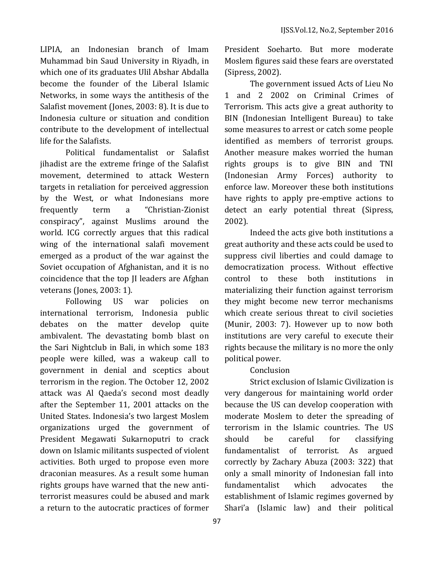LIPIA, an Indonesian branch of Imam Muhammad bin Saud University in Riyadh, in which one of its graduates Ulil Abshar Abdalla become the founder of the Liberal Islamic Networks, in some ways the antithesis of the Salafist movement (Jones, 2003: 8). It is due to Indonesia culture or situation and condition contribute to the development of intellectual life for the Salafists.

Political fundamentalist or Salafist jihadist are the extreme fringe of the Salafist movement, determined to attack Western targets in retaliation for perceived aggression by the West, or what Indonesians more frequently term a "Christian-Zionist conspiracy", against Muslims around the world. ICG correctly argues that this radical wing of the international salafi movement emerged as a product of the war against the Soviet occupation of Afghanistan, and it is no coincidence that the top JI leaders are Afghan veterans (Jones, 2003: 1).

Following US war policies on international terrorism, Indonesia public debates on the matter develop quite ambivalent. The devastating bomb blast on the Sari Nightclub in Bali, in which some 183 people were killed, was a wakeup call to government in denial and sceptics about terrorism in the region. The October 12, 2002 attack was Al Qaeda's second most deadly after the September 11, 2001 attacks on the United States. Indonesia's two largest Moslem organizations urged the government of President Megawati Sukarnoputri to crack down on Islamic militants suspected of violent activities. Both urged to propose even more draconian measures. As a result some human rights groups have warned that the new antiterrorist measures could be abused and mark a return to the autocratic practices of former

President Soeharto. But more moderate Moslem figures said these fears are overstated (Sipress, 2002).

The government issued Acts of Lieu No 1 and 2 2002 on Criminal Crimes of Terrorism. This acts give a great authority to BIN (Indonesian Intelligent Bureau) to take some measures to arrest or catch some people identified as members of terrorist groups. Another measure makes worried the human rights groups is to give BIN and TNI (Indonesian Army Forces) authority to enforce law. Moreover these both institutions have rights to apply pre-emptive actions to detect an early potential threat (Sipress, 2002).

Indeed the acts give both institutions a great authority and these acts could be used to suppress civil liberties and could damage to democratization process. Without effective control to these both institutions in materializing their function against terrorism they might become new terror mechanisms which create serious threat to civil societies (Munir, 2003: 7). However up to now both institutions are very careful to execute their rights because the military is no more the only political power.

## Conclusion

Strict exclusion of Islamic Civilization is very dangerous for maintaining world order because the US can develop cooperation with moderate Moslem to deter the spreading of terrorism in the Islamic countries. The US should be careful for classifying fundamentalist of terrorist. As argued correctly by Zachary Abuza (2003: 322) that only a small minority of Indonesian fall into fundamentalist which advocates the establishment of Islamic regimes governed by Shari'a (Islamic law) and their political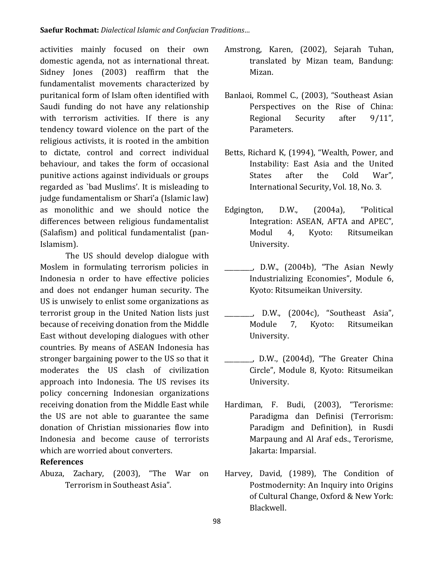activities mainly focused on their own domestic agenda, not as international threat. Sidney Jones (2003) reaffirm that the fundamentalist movements characterized by puritanical form of Islam often identified with Saudi funding do not have any relationship with terrorism activities. If there is any tendency toward violence on the part of the religious activists, it is rooted in the ambition to dictate, control and correct individual behaviour, and takes the form of occasional punitive actions against individuals or groups regarded as `bad Muslims'. It is misleading to judge fundamentalism or Shari'a (Islamic law) as monolithic and we should notice the differences between religious fundamentalist (Salafism) and political fundamentalist (pan-Islamism).

The US should develop dialogue with Moslem in formulating terrorism policies in Indonesia n order to have effective policies and does not endanger human security. The US is unwisely to enlist some organizations as terrorist group in the United Nation lists just because of receiving donation from the Middle East without developing dialogues with other countries. By means of ASEAN Indonesia has stronger bargaining power to the US so that it moderates the US clash of civilization approach into Indonesia. The US revises its policy concerning Indonesian organizations receiving donation from the Middle East while the US are not able to guarantee the same donation of Christian missionaries flow into Indonesia and become cause of terrorists which are worried about converters.

#### **References**

Abuza, Zachary, (2003), "The War on Terrorism in Southeast Asia".

- Amstrong, Karen, (2002), Sejarah Tuhan, translated by Mizan team, Bandung: Mizan.
- Banlaoi, Rommel C., (2003), "Southeast Asian Perspectives on the Rise of China: Regional Security after 9/11", Parameters.
- Betts, Richard K, (1994), "Wealth, Power, and Instability: East Asia and the United States after the Cold War", International Security, Vol. 18, No. 3.
- Edgington, D.W., (2004a), "Political Integration: ASEAN, AFTA and APEC", Modul 4, Kyoto: Ritsumeikan University.
	- \_\_\_\_\_\_\_\_\_, D.W., (2004b), "The Asian Newly Industrializing Economies", Module 6, Kyoto: Ritsumeikan University.
	- \_\_\_\_\_\_\_\_\_, D.W., (2004c), "Southeast Asia", Module 7, Kyoto: Ritsumeikan University.
	- \_\_\_\_\_\_\_\_\_, D.W., (2004d), "The Greater China Circle", Module 8, Kyoto: Ritsumeikan University.
- Hardiman, F. Budi, (2003), "Terorisme: Paradigma dan Definisi (Terrorism: Paradigm and Definition), in Rusdi Marpaung and Al Araf eds., Terorisme, Jakarta: Imparsial.
- Harvey, David, (1989), The Condition of Postmodernity: An Inquiry into Origins of Cultural Change, Oxford & New York: Blackwell.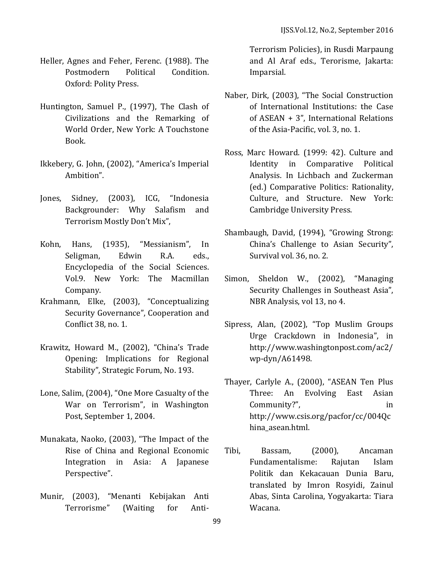- Heller, Agnes and Feher, Ferenc. (1988). The Postmodern Political Condition. Oxford: Polity Press.
- Huntington, Samuel P., (1997), The Clash of Civilizations and the Remarking of World Order, New York: A Touchstone Book.
- Ikkebery, G. John, (2002), "America's Imperial Ambition".
- Jones, Sidney, (2003), ICG, "Indonesia Backgrounder: Why Salafism and Terrorism Mostly Don't Mix",
- Kohn, Hans, (1935), "Messianism", In Seligman, Edwin R.A. eds., Encyclopedia of the Social Sciences. Vol.9. New York: The Macmillan Company.
- Krahmann, Elke, (2003), "Conceptualizing Security Governance", Cooperation and Conflict 38, no. 1.
- Krawitz, Howard M., (2002), "China's Trade Opening: Implications for Regional Stability", Strategic Forum, No. 193.
- Lone, Salim, (2004), "One More Casualty of the War on Terrorism", in Washington Post, September 1, 2004.
- Munakata, Naoko, (2003), "The Impact of the Rise of China and Regional Economic Integration in Asia: A Japanese Perspective".
- Munir, (2003), "Menanti Kebijakan Anti Terrorisme" (Waiting for Anti-

Terrorism Policies), in Rusdi Marpaung and Al Araf eds., Terorisme, Jakarta: Imparsial.

- Naber, Dirk, (2003), "The Social Construction of International Institutions: the Case of ASEAN + 3", International Relations of the Asia-Pacific, vol. 3, no. 1.
- Ross, Marc Howard. (1999: 42). Culture and Identity in Comparative Political Analysis. In Lichbach and Zuckerman (ed.) Comparative Politics: Rationality, Culture, and Structure. New York: Cambridge University Press.
- Shambaugh, David, (1994), "Growing Strong: China's Challenge to Asian Security", Survival vol. 36, no. 2.
- Simon, Sheldon W., (2002), "Managing Security Challenges in Southeast Asia", NBR Analysis, vol 13, no 4.
- Sipress, Alan, (2002), "Top Muslim Groups Urge Crackdown in Indonesia", in http://www.washingtonpost.com/ac2/ wp-dyn/A61498.
- Thayer, Carlyle A., (2000), "ASEAN Ten Plus Three: An Evolving East Asian Community?", in http://www.csis.org/pacfor/cc/004Qc hina\_asean.html.
- Tibi, Bassam, (2000), Ancaman Fundamentalisme: Rajutan Islam Politik dan Kekacauan Dunia Baru, translated by Imron Rosyidi, Zainul Abas, Sinta Carolina, Yogyakarta: Tiara Wacana.